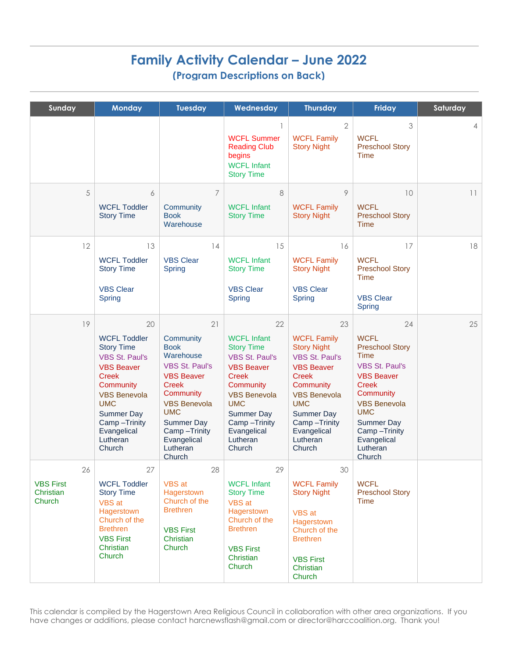# **Family Activity Calendar – June 2022 (Program Descriptions on Back)**

| Sunday                                        | <b>Monday</b>                                                                                                                                                                                                                            | <b>Tuesday</b>                                                                                                                                                                                                                 | Wednesday                                                                                                                                                                                                                               | <b>Thursday</b>                                                                                                                                                                                                                   | <b>Friday</b>                                                                                                                                                                                                                                        | Saturday |
|-----------------------------------------------|------------------------------------------------------------------------------------------------------------------------------------------------------------------------------------------------------------------------------------------|--------------------------------------------------------------------------------------------------------------------------------------------------------------------------------------------------------------------------------|-----------------------------------------------------------------------------------------------------------------------------------------------------------------------------------------------------------------------------------------|-----------------------------------------------------------------------------------------------------------------------------------------------------------------------------------------------------------------------------------|------------------------------------------------------------------------------------------------------------------------------------------------------------------------------------------------------------------------------------------------------|----------|
|                                               |                                                                                                                                                                                                                                          |                                                                                                                                                                                                                                | <b>WCFL Summer</b><br><b>Reading Club</b><br>begins<br><b>WCFL Infant</b><br><b>Story Time</b>                                                                                                                                          | $\overline{2}$<br><b>WCFL Family</b><br><b>Story Night</b>                                                                                                                                                                        | 3<br><b>WCFL</b><br><b>Preschool Story</b><br><b>Time</b>                                                                                                                                                                                            | 4        |
| 5                                             | 6<br><b>WCFL Toddler</b><br><b>Story Time</b>                                                                                                                                                                                            | $\overline{7}$<br>Community<br><b>Book</b><br>Warehouse                                                                                                                                                                        | 8<br><b>WCFL Infant</b><br><b>Story Time</b>                                                                                                                                                                                            | 9<br><b>WCFL Family</b><br><b>Story Night</b>                                                                                                                                                                                     | 10<br><b>WCFL</b><br><b>Preschool Story</b><br><b>Time</b>                                                                                                                                                                                           | 11       |
| 12                                            | 13<br><b>WCFL Toddler</b><br><b>Story Time</b><br><b>VBS Clear</b><br><b>Spring</b>                                                                                                                                                      | 14<br><b>VBS Clear</b><br>Spring                                                                                                                                                                                               | 15<br><b>WCFL Infant</b><br><b>Story Time</b><br><b>VBS Clear</b><br><b>Spring</b>                                                                                                                                                      | 16<br><b>WCFL Family</b><br><b>Story Night</b><br><b>VBS Clear</b><br><b>Spring</b>                                                                                                                                               | 17<br><b>WCFL</b><br><b>Preschool Story</b><br><b>Time</b><br><b>VBS Clear</b><br><b>Spring</b>                                                                                                                                                      | 18       |
| 19                                            | 20<br><b>WCFL Toddler</b><br><b>Story Time</b><br><b>VBS St. Paul's</b><br><b>VBS Beaver</b><br><b>Creek</b><br>Community<br><b>VBS Benevola</b><br><b>UMC</b><br><b>Summer Day</b><br>Camp-Trinity<br>Evangelical<br>Lutheran<br>Church | 21<br>Community<br><b>Book</b><br>Warehouse<br><b>VBS St. Paul's</b><br><b>VBS Beaver</b><br><b>Creek</b><br>Community<br><b>VBS Benevola</b><br><b>UMC</b><br>Summer Day<br>Camp-Trinity<br>Evangelical<br>Lutheran<br>Church | 22<br><b>WCFL Infant</b><br><b>Story Time</b><br><b>VBS St. Paul's</b><br><b>VBS Beaver</b><br><b>Creek</b><br>Community<br><b>VBS Benevola</b><br><b>UMC</b><br><b>Summer Day</b><br>Camp-Trinity<br>Evangelical<br>Lutheran<br>Church | 23<br><b>WCFL Family</b><br><b>Story Night</b><br><b>VBS St. Paul's</b><br><b>VBS Beaver</b><br><b>Creek</b><br>Community<br><b>VBS Benevola</b><br><b>UMC</b><br>Summer Day<br>Camp-Trinity<br>Evangelical<br>Lutheran<br>Church | 24<br><b>WCFL</b><br><b>Preschool Story</b><br><b>Time</b><br><b>VBS St. Paul's</b><br><b>VBS Beaver</b><br><b>Creek</b><br>Community<br><b>VBS Benevola</b><br><b>UMC</b><br><b>Summer Day</b><br>Camp-Trinity<br>Evangelical<br>Lutheran<br>Church | 25       |
| 26<br><b>VBS First</b><br>Christian<br>Church | 27<br><b>WCFL Toddler</b><br><b>Story Time</b><br>VBS at<br>Hagerstown<br>Church of the<br><b>Brethren</b><br><b>VBS First</b><br>Christian<br>Church                                                                                    | 28<br>VBS at<br>Hagerstown<br>Church of the<br><b>Brethren</b><br><b>VBS First</b><br>Christian<br>Church                                                                                                                      | 29<br><b>WCFL Infant</b><br><b>Story Time</b><br><b>VBS</b> at<br>Hagerstown<br>Church of the<br><b>Brethren</b><br><b>VBS First</b><br>Christian<br>Church                                                                             | 30<br><b>WCFL Family</b><br><b>Story Night</b><br>VBS at<br>Hagerstown<br>Church of the<br><b>Brethren</b><br><b>VBS First</b><br>Christian<br>Church                                                                             | <b>WCFL</b><br><b>Preschool Story</b><br><b>Time</b>                                                                                                                                                                                                 |          |

This calendar is compiled by the Hagerstown Area Religious Council in collaboration with other area organizations. If you have changes or additions, please contact harcnewsflash@gmail.com or director@harccoalition.org. Thank you!